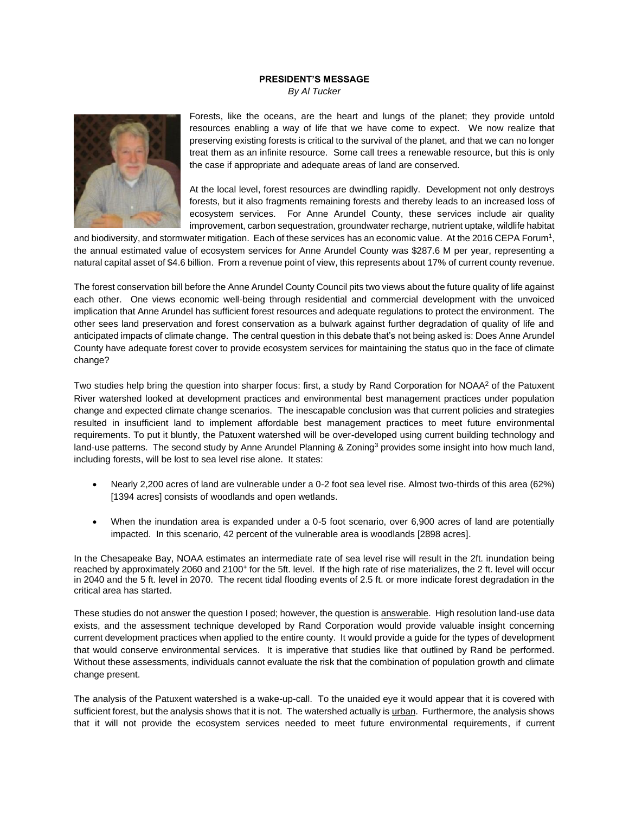## **PRESIDENT'S MESSAGE**

*By Al Tucker*



Forests, like the oceans, are the heart and lungs of the planet; they provide untold resources enabling a way of life that we have come to expect. We now realize that preserving existing forests is critical to the survival of the planet, and that we can no longer treat them as an infinite resource. Some call trees a renewable resource, but this is only the case if appropriate and adequate areas of land are conserved.

At the local level, forest resources are dwindling rapidly. Development not only destroys forests, but it also fragments remaining forests and thereby leads to an increased loss of ecosystem services. For Anne Arundel County, these services include air quality improvement, carbon sequestration, groundwater recharge, nutrient uptake, wildlife habitat

and biodiversity, and stormwater mitigation. Each of these services has an economic value. At the 2016 CEPA Forum<sup>1</sup>, the annual estimated value of ecosystem services for Anne Arundel County was \$287.6 M per year, representing a natural capital asset of \$4.6 billion. From a revenue point of view, this represents about 17% of current county revenue.

The forest conservation bill before the Anne Arundel County Council pits two views about the future quality of life against each other. One views economic well-being through residential and commercial development with the unvoiced implication that Anne Arundel has sufficient forest resources and adequate regulations to protect the environment. The other sees land preservation and forest conservation as a bulwark against further degradation of quality of life and anticipated impacts of climate change. The central question in this debate that's not being asked is: Does Anne Arundel County have adequate forest cover to provide ecosystem services for maintaining the status quo in the face of climate change?

Two studies help bring the question into sharper focus: first, a study by Rand Corporation for NOAA<sup>2</sup> of the Patuxent River watershed looked at development practices and environmental best management practices under population change and expected climate change scenarios. The inescapable conclusion was that current policies and strategies resulted in insufficient land to implement affordable best management practices to meet future environmental requirements. To put it bluntly, the Patuxent watershed will be over-developed using current building technology and land-use patterns. The second study by Anne Arundel Planning & Zoning<sup>3</sup> provides some insight into how much land, including forests, will be lost to sea level rise alone. It states:

- Nearly 2,200 acres of land are vulnerable under a 0-2 foot sea level rise. Almost two-thirds of this area (62%) [1394 acres] consists of woodlands and open wetlands.
- When the inundation area is expanded under a 0-5 foot scenario, over 6,900 acres of land are potentially impacted. In this scenario, 42 percent of the vulnerable area is woodlands [2898 acres].

In the Chesapeake Bay, NOAA estimates an intermediate rate of sea level rise will result in the 2ft. inundation being reached by approximately 2060 and 2100<sup>+</sup> for the 5ft. level. If the high rate of rise materializes, the 2 ft. level will occur in 2040 and the 5 ft. level in 2070. The recent tidal flooding events of 2.5 ft. or more indicate forest degradation in the critical area has started.

These studies do not answer the question I posed; however, the question is answerable. High resolution land-use data exists, and the assessment technique developed by Rand Corporation would provide valuable insight concerning current development practices when applied to the entire county. It would provide a guide for the types of development that would conserve environmental services. It is imperative that studies like that outlined by Rand be performed. Without these assessments, individuals cannot evaluate the risk that the combination of population growth and climate change present.

The analysis of the Patuxent watershed is a wake-up-call. To the unaided eye it would appear that it is covered with sufficient forest, but the analysis shows that it is not. The watershed actually is urban. Furthermore, the analysis shows that it will not provide the ecosystem services needed to meet future environmental requirements, if current